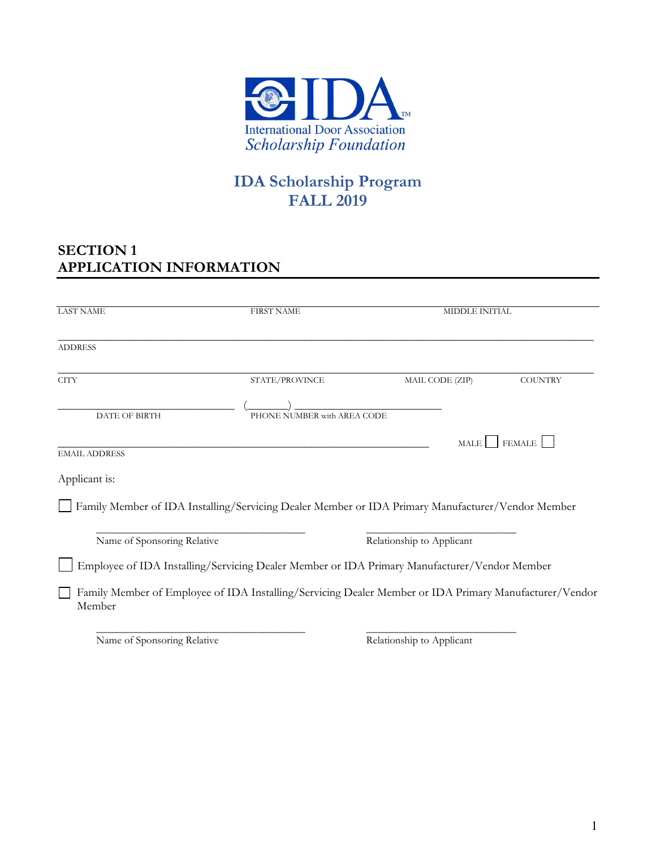

# **IDA Scholarship Program FALL 2019**

### **SECTION 1 APPLICATION INFORMATION**

| <b>LAST NAME</b>                                                                                                 | <b>FIRST NAME</b>           |                           | <b>MIDDLE INITIAL</b> |  |  |  |
|------------------------------------------------------------------------------------------------------------------|-----------------------------|---------------------------|-----------------------|--|--|--|
| <b>ADDRESS</b>                                                                                                   |                             |                           |                       |  |  |  |
| <b>CITY</b>                                                                                                      | STATE/PROVINCE              | MAIL CODE (ZIP)           | <b>COUNTRY</b>        |  |  |  |
| <b>DATE OF BIRTH</b>                                                                                             | PHONE NUMBER with AREA CODE |                           |                       |  |  |  |
|                                                                                                                  |                             | MALE                      | <b>FEMALE</b>         |  |  |  |
| <b>EMAIL ADDRESS</b>                                                                                             |                             |                           |                       |  |  |  |
| Applicant is:                                                                                                    |                             |                           |                       |  |  |  |
| Family Member of IDA Installing/Servicing Dealer Member or IDA Primary Manufacturer/Vendor Member                |                             |                           |                       |  |  |  |
|                                                                                                                  |                             |                           |                       |  |  |  |
| Name of Sponsoring Relative                                                                                      |                             | Relationship to Applicant |                       |  |  |  |
| Employee of IDA Installing/Servicing Dealer Member or IDA Primary Manufacturer/Vendor Member                     |                             |                           |                       |  |  |  |
| Family Member of Employee of IDA Installing/Servicing Dealer Member or IDA Primary Manufacturer/Vendor<br>Member |                             |                           |                       |  |  |  |

Name of Sponsoring Relative Relationship to Applicant

 $\overline{\phantom{a}}$  , and the contribution of the contribution of the contribution of the contribution of the contribution of the contribution of the contribution of the contribution of the contribution of the contribution of the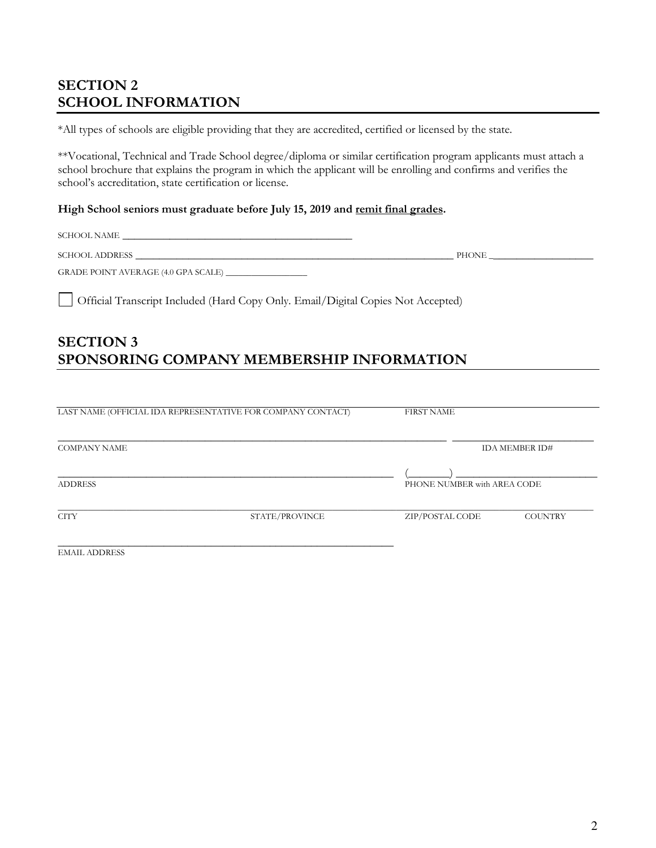### **SECTION 2 SCHOOL INFORMATION**

\*All types of schools are eligible providing that they are accredited, certified or licensed by the state.

\*\*Vocational, Technical and Trade School degree/diploma or similar certification program applicants must attach a school brochure that explains the program in which the applicant will be enrolling and confirms and verifies the school's accreditation, state certification or license.

#### **High School seniors must graduate before July 15, 2019 and remit final grades.**

 ${\large\bf SCHOOL\; NAME} \quad \textcolor{red}{\bf \textcolor{blue}{\bf \textcolor{blue}{\bf \textcolor{blue}{\bf \textcolor{blue}{\bf \textcolor{blue}{\bf \textcolor{blue}{\bf \textcolor{blue}{\bf \textcolor{blue}{\bf \textcolor{blue}{\bf \textcolor{blue}{\bf \textcolor{blue}{\bf \textcolor{blue}{\bf \textcolor{blue}{\bf \textcolor{blue}{\bf \textcolor{blue}{\bf \textcolor{blue}{\bf \textcolor{blue}{\bf \textcolor{blue}{\bf \textcolor{blue}{\bf \textcolor{blue}{\bf \textcolor{blue}{\bf \textcolor{blue}{\bf \textcolor{blue}{\bf \textcolor{blue}{\bf \textcolor{blue}{\$ 

SCHOOL ADDRESS \_\_\_\_\_\_\_\_\_\_\_\_\_\_\_\_\_\_\_\_\_\_\_\_\_\_\_\_\_\_\_\_\_\_\_\_\_\_\_\_\_\_\_\_\_\_\_\_\_\_\_\_\_\_ PHONE \_\_\_\_\_\_\_\_\_\_\_\_\_\_\_\_\_\_

GRADE POINT AVERAGE (4.0 GPA SCALE) \_\_\_\_\_\_\_\_\_\_\_\_\_\_\_\_\_\_\_

Official Transcript Included (Hard Copy Only. Email/Digital Copies Not Accepted)

#### **SECTION 3 SPONSORING COMPANY MEMBERSHIP INFORMATION**

| LAST NAME (OFFICIAL IDA REPRESENTATIVE FOR COMPANY CONTACT) |                | <b>FIRST NAME</b>           |                |  |  |  |
|-------------------------------------------------------------|----------------|-----------------------------|----------------|--|--|--|
| <b>COMPANY NAME</b><br><b>ADDRESS</b>                       |                |                             | IDA MEMBER ID# |  |  |  |
|                                                             |                | PHONE NUMBER with AREA CODE |                |  |  |  |
| <b>CITY</b>                                                 | STATE/PROVINCE | ZIP/POSTAL CODE             | <b>COUNTRY</b> |  |  |  |
| <b>EMAIL ADDRESS</b>                                        |                |                             |                |  |  |  |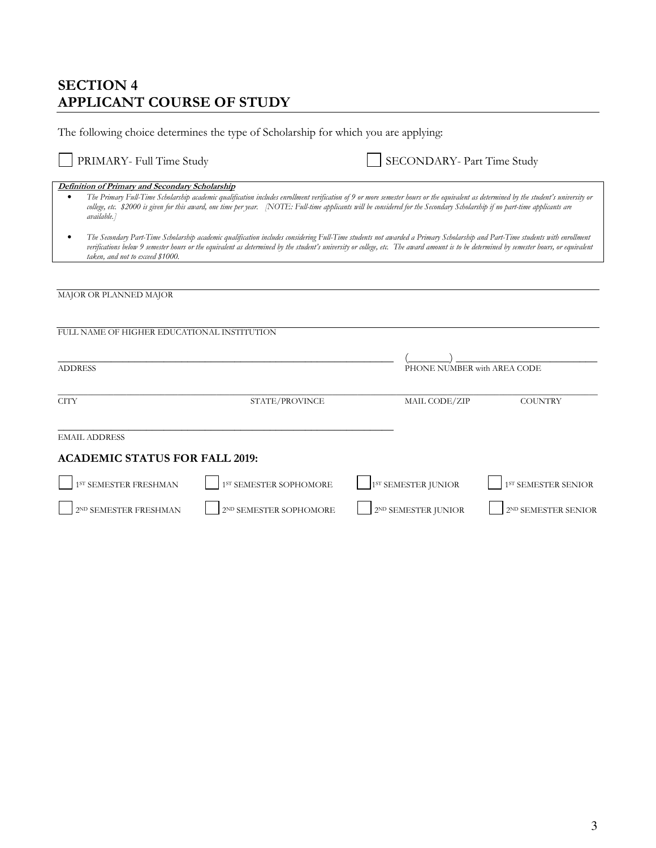### **SECTION 4 APPLICANT COURSE OF STUDY**

| The following choice determines the type of Scholarship for which you are applying:                                                                                                                                                                                                                                                                                                                                                   |                        |  |                                 |                                 |  |
|---------------------------------------------------------------------------------------------------------------------------------------------------------------------------------------------------------------------------------------------------------------------------------------------------------------------------------------------------------------------------------------------------------------------------------------|------------------------|--|---------------------------------|---------------------------------|--|
| PRIMARY- Full Time Study                                                                                                                                                                                                                                                                                                                                                                                                              |                        |  | SECONDARY- Part Time Study      |                                 |  |
| Definition of Primary and Secondary Scholarship<br>The Primary Full-Time Scholarship academic qualification includes enrollment verification of 9 or more semester hours or the equivalent as determined by the student's university or<br>college, etc. \$2000 is given for this award, one time per year. NOTE: Full-time applicants will be considered for the Secondary Scholarship if no part-time applicants are<br>available.] |                        |  |                                 |                                 |  |
| The Secondary Part-Time Scholarship academic qualification includes considering Full-Time students not awarded a Primary Scholarship and Part-Time students with enrollment<br>verifications below 9 semester hours or the equivalent as determined by the student's university or college, etc. The award amount is to be determined by semester hours, or equivalent<br>taken, and not to exceed \$1000.                            |                        |  |                                 |                                 |  |
|                                                                                                                                                                                                                                                                                                                                                                                                                                       |                        |  |                                 |                                 |  |
| MAJOR OR PLANNED MAJOR                                                                                                                                                                                                                                                                                                                                                                                                                |                        |  |                                 |                                 |  |
|                                                                                                                                                                                                                                                                                                                                                                                                                                       |                        |  |                                 |                                 |  |
| FULL NAME OF HIGHER EDUCATIONAL INSTITUTION                                                                                                                                                                                                                                                                                                                                                                                           |                        |  |                                 |                                 |  |
| <b>ADDRESS</b>                                                                                                                                                                                                                                                                                                                                                                                                                        |                        |  | PHONE NUMBER with AREA CODE     |                                 |  |
| <b>CITY</b>                                                                                                                                                                                                                                                                                                                                                                                                                           | STATE/PROVINCE         |  | MAIL CODE/ZIP                   | <b>COUNTRY</b>                  |  |
| <b>EMAIL ADDRESS</b>                                                                                                                                                                                                                                                                                                                                                                                                                  |                        |  |                                 |                                 |  |
| <b>ACADEMIC STATUS FOR FALL 2019:</b>                                                                                                                                                                                                                                                                                                                                                                                                 |                        |  |                                 |                                 |  |
| 1 <sup>ST</sup> SEMESTER FRESHMAN                                                                                                                                                                                                                                                                                                                                                                                                     | 1ST SEMESTER SOPHOMORE |  | 1 <sup>ST</sup> SEMESTER JUNIOR | 1 <sup>ST</sup> SEMESTER SENIOR |  |
| 2ND SEMESTER FRESHMAN                                                                                                                                                                                                                                                                                                                                                                                                                 | 2ND SEMESTER SOPHOMORE |  | 2ND SEMESTER JUNIOR             | 2ND SEMESTER SENIOR             |  |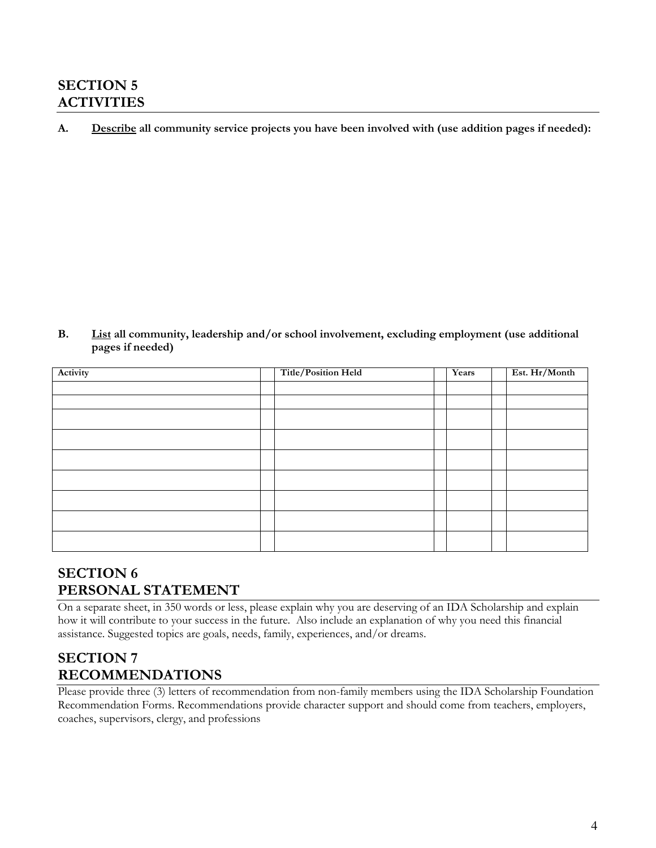### **SECTION 5 ACTIVITIES**

**A. Describe all community service projects you have been involved with (use addition pages if needed):** 

**B. List all community, leadership and/or school involvement, excluding employment (use additional pages if needed)** 

| Activity | Title/Position Held | Years | Est. Hr/Month |
|----------|---------------------|-------|---------------|
|          |                     |       |               |
|          |                     |       |               |
|          |                     |       |               |
|          |                     |       |               |
|          |                     |       |               |
|          |                     |       |               |
|          |                     |       |               |
|          |                     |       |               |
|          |                     |       |               |

### **SECTION 6 PERSONAL STATEMENT**

On a separate sheet, in 350 words or less, please explain why you are deserving of an IDA Scholarship and explain how it will contribute to your success in the future. Also include an explanation of why you need this financial assistance. Suggested topics are goals, needs, family, experiences, and/or dreams.

## **SECTION 7 RECOMMENDATIONS**

Please provide three (3) letters of recommendation from non-family members using the IDA Scholarship Foundation Recommendation Forms. Recommendations provide character support and should come from teachers, employers, coaches, supervisors, clergy, and professions